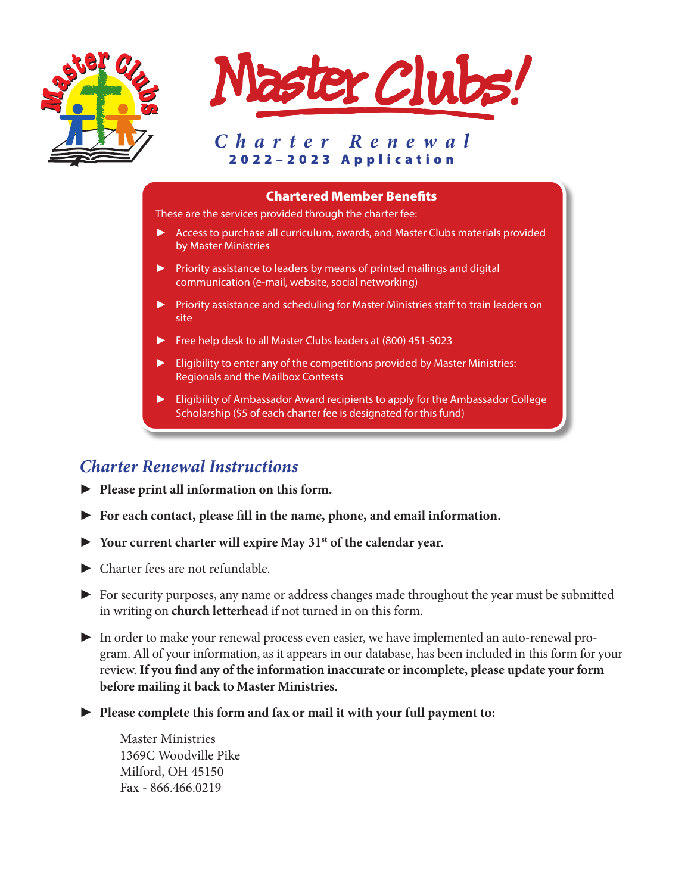



### *Charter Renewal* 2022–2023 Application

#### Chartered Member Benefits

These are the services provided through the charter fee:

- ► Access to purchase all curriculum, awards, and Master Clubs materials provided by Master Ministries
- ► Priority assistance to leaders by means of printed mailings and digital communication (e-mail, website, social networking)
- ► Priority assistance and scheduling for Master Ministries staff to train leaders on site
- ► Free help desk to all Master Clubs leaders at (800) 451-5023
- Eligibility to enter any of the competitions provided by Master Ministries: Regionals and the Mailbox Contests
- ► Eligibility of Ambassador Award recipients to apply for the Ambassador College Scholarship (\$5 of each charter fee is designated for this fund)

## *Charter Renewal Instructions*

- ► **Please print all information on this form.**
- ► **For each contact, please fill in the name, phone, and email information.**
- ► **Your current charter will expire May 31st of the calendar year.**
- ► Charter fees are not refundable.
- ► For security purposes, any name or address changes made throughout the year must be submitted in writing on **church letterhead** if not turned in on this form.
- ► In order to make your renewal process even easier, we have implemented an auto-renewal program. All of your information, as it appears in our database, has been included in this form for your review. **If you find any of the information inaccurate or incomplete, please update your form before mailing it back to Master Ministries.**
- ► **Please complete this form and fax or mail it with your full payment to:**

Master Ministries 1369C Woodville Pike Milford, OH 45150 Fax - 866.466.0219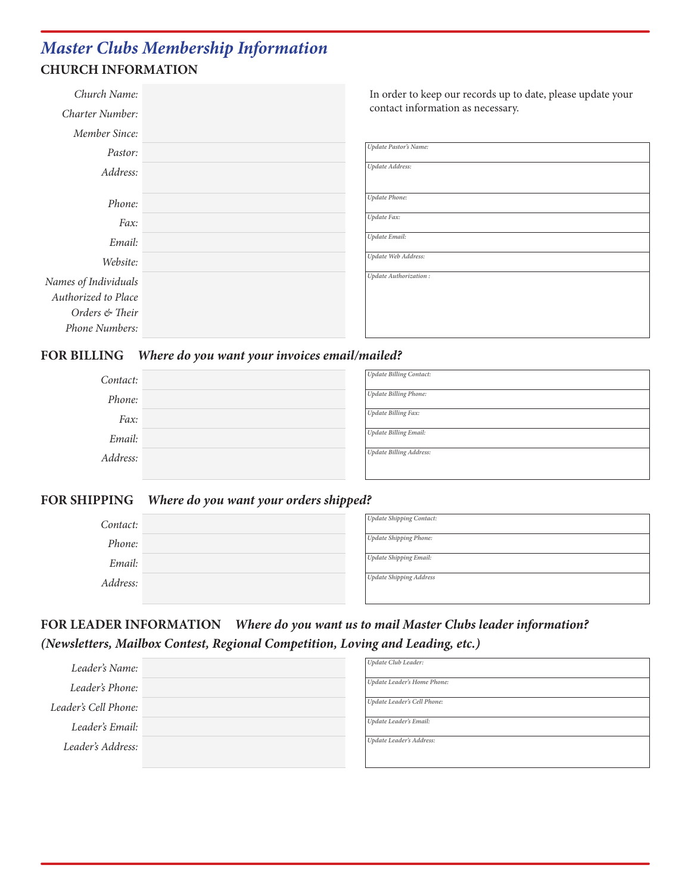# *Master Clubs Membership Information* **CHURCH INFORMATION**

| Church Name:<br>Charter Number: | In order to keep our records up to date, please update your<br>contact information as necessary. |
|---------------------------------|--------------------------------------------------------------------------------------------------|
| Member Since:                   |                                                                                                  |
| Pastor:                         | Update Pastor's Name:                                                                            |
| Address:                        | Update Address:                                                                                  |
| Phone:                          | <b>Update Phone:</b>                                                                             |
| Fax:                            | Update Fax:                                                                                      |
| Email:                          | <b>Update Email:</b>                                                                             |
| Website:                        | Update Web Address:                                                                              |
| Names of Individuals            | Update Authorization:                                                                            |
| Authorized to Place             |                                                                                                  |
| Orders & Their                  |                                                                                                  |
| Phone Numbers:                  |                                                                                                  |

#### **FOR BILLING** *Where do you want your invoices email/mailed?*

| Contact: | Update Billing Contact:        |
|----------|--------------------------------|
| Phone:   | Update Billing Phone:          |
| Fax:     | Update Billing Fax:            |
| Email:   | <b>Update Billing Email:</b>   |
| Address: | <b>Update Billing Address:</b> |

#### **FOR SHIPPING** *Where do you want your orders shipped?*

| Contact: | Update Shipping Contact: |
|----------|--------------------------|
| Phone:   | Update Shipping Phone:   |
| Email:   | Update Shipping Email:   |
| Address: | Update Shipping Address  |
|          |                          |

## **FOR LEADER INFORMATION** *Where do you want us to mail Master Clubs leader information? (Newsletters, Mailbox Contest, Regional Competition, Loving and Leading, etc.)*

| Leader's Name:       | Update Club Leader:         |
|----------------------|-----------------------------|
| Leader's Phone:      | Update Leader's Home Phone: |
| Leader's Cell Phone: | Update Leader's Cell Phone: |
| Leader's Email:      | Update Leader's Email:      |
| Leader's Address:    | Update Leader's Address:    |
|                      |                             |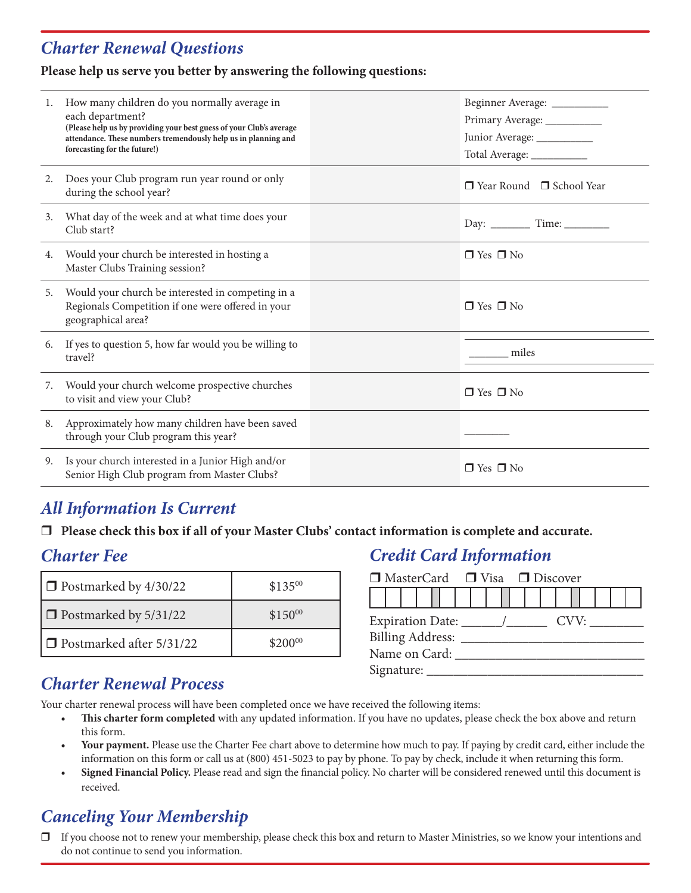## *Charter Renewal Questions*

#### **Please help us serve you better by answering the following questions:**

| 1. | How many children do you normally average in<br>each department?<br>(Please help us by providing your best guess of your Club's average<br>attendance. These numbers tremendously help us in planning and<br>forecasting for the future!) | Beginner Average: __________<br>Primary Average: ___________<br>Junior Average: ___________<br>Total Average: ___________ |
|----|-------------------------------------------------------------------------------------------------------------------------------------------------------------------------------------------------------------------------------------------|---------------------------------------------------------------------------------------------------------------------------|
| 2. | Does your Club program run year round or only<br>during the school year?                                                                                                                                                                  | $\Box$ Year Round $\Box$ School Year                                                                                      |
| 3. | What day of the week and at what time does your<br>Club start?                                                                                                                                                                            |                                                                                                                           |
| 4. | Would your church be interested in hosting a<br>Master Clubs Training session?                                                                                                                                                            | $\Box$ Yes $\Box$ No                                                                                                      |
| 5. | Would your church be interested in competing in a<br>Regionals Competition if one were offered in your<br>geographical area?                                                                                                              | $\Box$ Yes $\Box$ No                                                                                                      |
| 6. | If yes to question 5, how far would you be willing to<br>travel?                                                                                                                                                                          | miles                                                                                                                     |
| 7. | Would your church welcome prospective churches<br>to visit and view your Club?                                                                                                                                                            | $\Box$ Yes $\Box$ No                                                                                                      |
| 8. | Approximately how many children have been saved<br>through your Club program this year?                                                                                                                                                   |                                                                                                                           |
| 9. | Is your church interested in a Junior High and/or<br>Senior High Club program from Master Clubs?                                                                                                                                          | $\Box$ Yes $\Box$ No                                                                                                      |

## *All Information Is Current*

 $\Box$  Please check this box if all of your Master Clubs' contact information is complete and accurate.

## *Charter Fee*

| $\Box$ Postmarked by 4/30/22 | $$135^{00}$ |
|------------------------------|-------------|
| $\Box$ Postmarked by 5/31/22 | $$150^{00}$ |
| □ Postmarked after 5/31/22   | $$200^{00}$ |

## *Credit Card Information*

| $\Box$ MasterCard $\Box$ Visa $\Box$ Discover |  |  |  |  |  |  |  |  |  |      |  |  |  |  |  |  |  |
|-----------------------------------------------|--|--|--|--|--|--|--|--|--|------|--|--|--|--|--|--|--|
|                                               |  |  |  |  |  |  |  |  |  |      |  |  |  |  |  |  |  |
|                                               |  |  |  |  |  |  |  |  |  | CVV: |  |  |  |  |  |  |  |
| Billing Address: ____                         |  |  |  |  |  |  |  |  |  |      |  |  |  |  |  |  |  |
| Name on Card:                                 |  |  |  |  |  |  |  |  |  |      |  |  |  |  |  |  |  |
| Signature:                                    |  |  |  |  |  |  |  |  |  |      |  |  |  |  |  |  |  |

## *Charter Renewal Process*

Your charter renewal process will have been completed once we have received the following items:

- **• This charter form completed** with any updated information. If you have no updates, please check the box above and return this form.
- **• Your payment.** Please use the Charter Fee chart above to determine how much to pay. If paying by credit card, either include the information on this form or call us at (800) 451-5023 to pay by phone. To pay by check, include it when returning this form.
- **• Signed Financial Policy.** Please read and sign the financial policy. No charter will be considered renewed until this document is received.

# *Canceling Your Membership*

 $\Box$  If you choose not to renew your membership, please check this box and return to Master Ministries, so we know your intentions and do not continue to send you information.